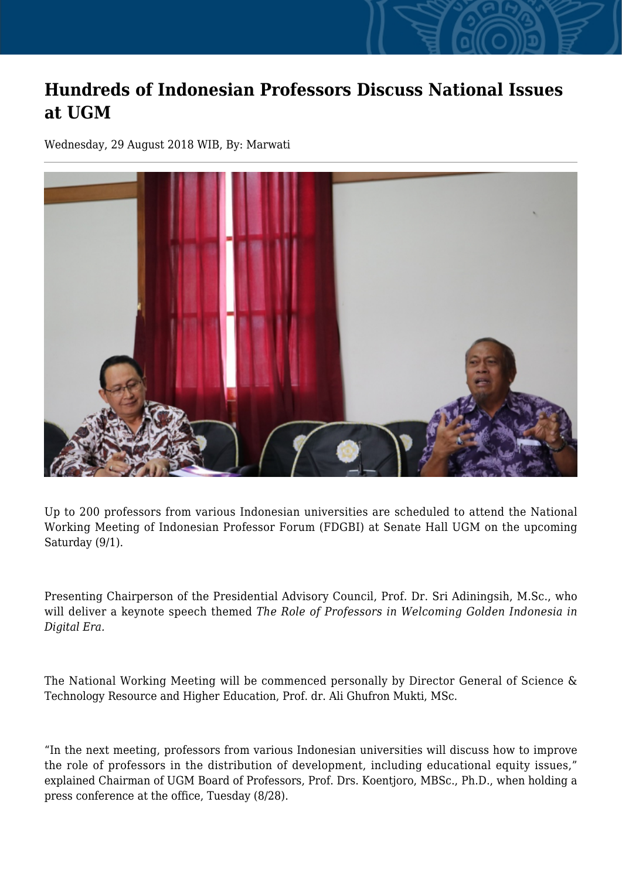## **Hundreds of Indonesian Professors Discuss National Issues at UGM**

Wednesday, 29 August 2018 WIB, By: Marwati



Up to 200 professors from various Indonesian universities are scheduled to attend the National Working Meeting of Indonesian Professor Forum (FDGBI) at Senate Hall UGM on the upcoming Saturday (9/1).

Presenting Chairperson of the Presidential Advisory Council, Prof. Dr. Sri Adiningsih, M.Sc., who will deliver a keynote speech themed *The Role of Professors in Welcoming Golden Indonesia in Digital Era.*

The National Working Meeting will be commenced personally by Director General of Science & Technology Resource and Higher Education, Prof. dr. Ali Ghufron Mukti, MSc.

"In the next meeting, professors from various Indonesian universities will discuss how to improve the role of professors in the distribution of development, including educational equity issues," explained Chairman of UGM Board of Professors, Prof. Drs. Koentjoro, MBSc., Ph.D., when holding a press conference at the office, Tuesday (8/28).